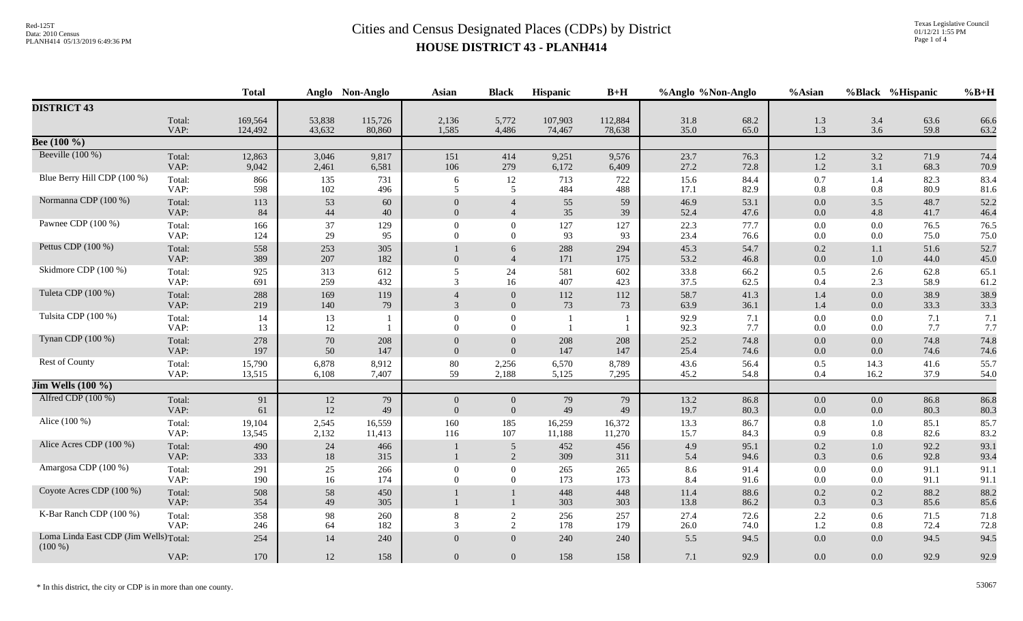|                                                     |                | <b>Total</b>    |                | Anglo Non-Anglo | <b>Asian</b>                       | <b>Black</b>                     | Hispanic       | $B+H$          | %Anglo %Non-Anglo |              | %Asian             |                | %Black %Hispanic | $%B+H$       |
|-----------------------------------------------------|----------------|-----------------|----------------|-----------------|------------------------------------|----------------------------------|----------------|----------------|-------------------|--------------|--------------------|----------------|------------------|--------------|
| <b>DISTRICT 43</b>                                  |                |                 |                |                 |                                    |                                  |                |                |                   |              |                    |                |                  |              |
|                                                     | Total:         | 169,564         | 53,838         | 115,726         | 2,136                              | 5,772                            | 107,903        | 112,884        | 31.8              | 68.2         | 1.3                | 3.4            | 63.6             | 66.6         |
| Bee $(100\%$                                        | VAP:           | 124,492         | 43,632         | 80,860          | 1,585                              | 4,486                            | 74,467         | 78,638         | 35.0              | 65.0         | 1.3                | 3.6            | 59.8             | 63.2         |
| Beeville $(100\%)$                                  |                |                 |                |                 |                                    |                                  |                |                |                   |              |                    |                |                  |              |
|                                                     | Total:<br>VAP: | 12,863<br>9,042 | 3,046<br>2,461 | 9,817<br>6,581  | 151<br>106                         | 414<br>279                       | 9,251<br>6,172 | 9,576<br>6,409 | 23.7<br>27.2      | 76.3<br>72.8 | $1.2\,$<br>1.2     | 3.2<br>3.1     | 71.9<br>68.3     | 74.4<br>70.9 |
| Blue Berry Hill CDP (100 %)                         | Total:         | 866             | 135            | 731             | 6                                  | 12                               | 713            | 722            | 15.6              | 84.4         | 0.7                | 1.4            | 82.3             | 83.4         |
|                                                     | VAP:           | 598             | 102            | 496             | 5                                  | 5                                | 484            | 488            | 17.1              | 82.9         | 0.8                | 0.8            | 80.9             | 81.6         |
| Normanna CDP (100 %)                                | Total:<br>VAP: | 113<br>84       | 53<br>44       | 60<br>40        | $\boldsymbol{0}$<br>$\overline{0}$ | $\overline{4}$<br>$\overline{4}$ | 55<br>35       | 59<br>39       | 46.9<br>52.4      | 53.1<br>47.6 | $0.0\,$<br>0.0     | 3.5<br>4.8     | 48.7<br>41.7     | 52.2<br>46.4 |
| Pawnee CDP (100 %)                                  | Total:         | 166             | 37             | 129             | $\Omega$                           | $\Omega$                         | 127            | 127            | 22.3              | 77.7         | $0.0\,$            | 0.0            | 76.5             | 76.5         |
|                                                     | VAP:           | 124             | 29             | 95              | $\Omega$                           | $\Omega$                         | 93             | 93             | 23.4              | 76.6         | 0.0                | 0.0            | 75.0             | 75.0         |
| Pettus CDP (100 %)                                  | Total:<br>VAP: | 558<br>389      | 253<br>207     | 305<br>182      | $\overline{0}$                     | 6<br>$\overline{4}$              | 288<br>171     | 294<br>175     | 45.3<br>53.2      | 54.7<br>46.8 | 0.2<br>0.0         | 1.1<br>1.0     | 51.6<br>44.0     | 52.7<br>45.0 |
| Skidmore CDP (100 %)                                | Total:         | 925             | 313            | 612             | 5                                  | 24                               | 581            | 602            | 33.8              | 66.2         | 0.5                | 2.6            | 62.8             | 65.1         |
|                                                     | VAP:           | 691             | 259            | 432             | 3                                  | 16                               | 407            | 423            | 37.5              | 62.5         | 0.4                | 2.3            | 58.9             | 61.2         |
| Tuleta CDP (100 %)                                  | Total:<br>VAP: | 288<br>219      | 169<br>140     | 119<br>79       | 3                                  | $\overline{0}$<br>$\overline{0}$ | 112<br>73      | 112<br>73      | 58.7<br>63.9      | 41.3<br>36.1 | 1.4<br>1.4         | 0.0<br>0.0     | 38.9<br>33.3     | 38.9<br>33.3 |
| Tulsita CDP (100 %)                                 | Total:         | 14              | 13             |                 | $\Omega$                           | $\overline{0}$                   |                |                | 92.9              | 7.1          | $0.0\,$            | 0.0            | 7.1              | 7.1          |
|                                                     | VAP:           | 13              | 12             |                 | $\Omega$                           | $\overline{0}$                   |                |                | 92.3              | 7.7          | $0.0\,$            | 0.0            | 7.7              | 7.7          |
| Tynan CDP (100 %)                                   | Total:<br>VAP: | 278<br>197      | 70<br>50       | 208<br>147      | $\overline{0}$<br>$\overline{0}$   | $\overline{0}$<br>$\overline{0}$ | 208<br>147     | 208<br>147     | 25.2<br>25.4      | 74.8<br>74.6 | $0.0\,$<br>$0.0\,$ | 0.0<br>0.0     | 74.8<br>74.6     | 74.8<br>74.6 |
| Rest of County                                      | Total:         | 15,790          | 6,878          | 8,912           | $80\,$                             | 2,256                            | 6,570          | 8,789          | 43.6              | 56.4         | 0.5                | 14.3           | 41.6             | 55.7         |
|                                                     | VAP:           | 13,515          | 6,108          | 7,407           | 59                                 | 2,188                            | 5,125          | 7,295          | 45.2              | 54.8         | 0.4                | 16.2           | 37.9             | 54.0         |
| $\overline{\text{Jim Wells} (100\%)}$               |                |                 |                |                 |                                    |                                  |                |                |                   |              |                    |                |                  |              |
| Alfred CDP (100 %)                                  | Total:<br>VAP: | 91<br>61        | 12<br>12       | 79<br>49        | $\overline{0}$<br>$\overline{0}$   | $\overline{0}$<br>$\overline{0}$ | 79<br>49       | 79<br>49       | 13.2<br>19.7      | 86.8<br>80.3 | $0.0\,$<br>0.0     | $0.0\,$<br>0.0 | 86.8<br>80.3     | 86.8<br>80.3 |
| Alice (100 %)                                       | Total:         | 19,104          | 2,545          | 16,559          | 160                                | 185                              | 16,259         | 16,372         | 13.3              | 86.7         | 0.8                | 1.0            | 85.1             | 85.7         |
|                                                     | VAP:           | 13,545          | 2,132          | 11,413          | 116                                | 107                              | 11,188         | 11,270         | 15.7              | 84.3         | 0.9                | 0.8            | 82.6             | 83.2         |
| Alice Acres CDP (100 %)                             | Total:         | 490             | 24             | 466             |                                    | 5                                | 452            | 456            | 4.9               | 95.1         | 0.2                | 1.0            | 92.2             | 93.1         |
|                                                     | VAP:           | 333             | $18\,$         | 315             |                                    | 2                                | 309            | 311            | 5.4               | 94.6         | 0.3                | 0.6            | 92.8             | 93.4         |
| Amargosa CDP (100 %)                                | Total:<br>VAP: | 291<br>190      | 25<br>16       | 266<br>174      | $\Omega$<br>$\Omega$               | $\overline{0}$<br>$\Omega$       | 265<br>173     | 265<br>173     | 8.6               | 91.4         | $0.0\,$            | 0.0            | 91.1             | 91.1         |
| Coyote Acres CDP (100 %)                            |                |                 |                |                 |                                    |                                  |                |                | 8.4               | 91.6         | $0.0\,$            | 0.0            | 91.1             | 91.1         |
|                                                     | Total:<br>VAP: | 508<br>354      | 58<br>49       | 450<br>305      |                                    |                                  | 448<br>303     | 448<br>303     | 11.4<br>13.8      | 88.6<br>86.2 | 0.2<br>0.3         | 0.2<br>0.3     | 88.2<br>85.6     | 88.2<br>85.6 |
| K-Bar Ranch CDP (100 %)                             | Total:         | 358             | 98             | 260             | 8                                  | $\overline{2}$                   | 256            | 257            | 27.4              | 72.6         | 2.2                | 0.6            | 71.5             | 71.8         |
|                                                     | VAP:           | 246             | 64             | 182             | 3                                  | 2                                | 178            | 179            | 26.0              | 74.0         | 1.2                | 0.8            | 72.4             | 72.8         |
| Loma Linda East CDP (Jim Wells) Total:<br>$(100\%)$ |                | 254             | 14             | 240             | $\overline{0}$                     | $\overline{0}$                   | 240            | 240            | 5.5               | 94.5         | 0.0                | 0.0            | 94.5             | 94.5         |
|                                                     | VAP:           | 170             | 12             | 158             | $\overline{0}$                     | $\overline{0}$                   | 158            | 158            | 7.1               | 92.9         | 0.0                | 0.0            | 92.9             | 92.9         |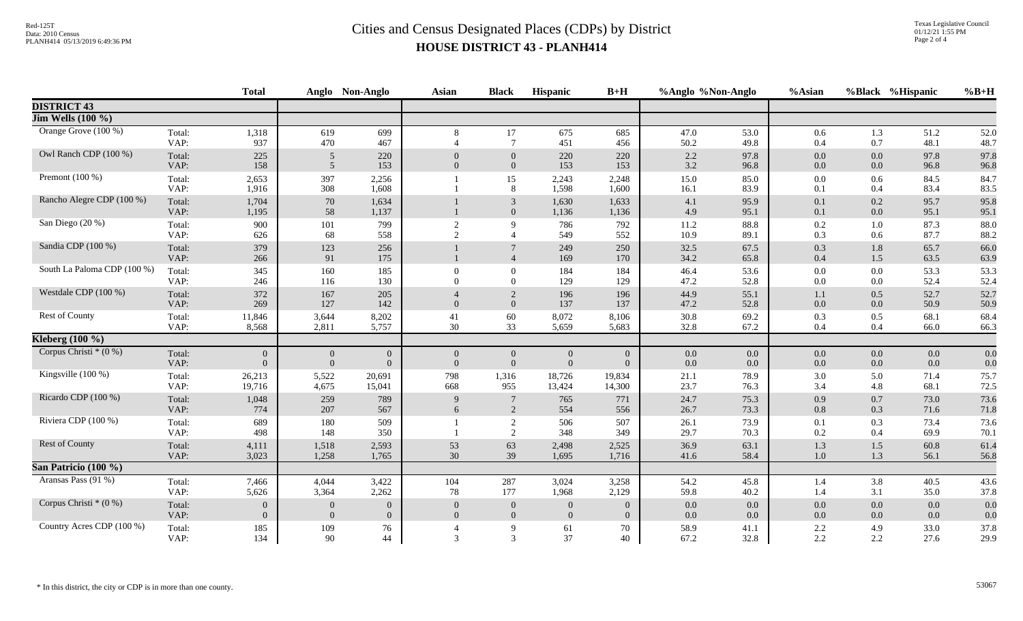|                              |                | <b>Total</b>                   |                                  | Anglo Non-Anglo                  | <b>Asian</b>                     | <b>Black</b>                     | Hispanic                         | $B+H$                          | %Anglo %Non-Anglo |                    | %Asian             |                    | %Black %Hispanic | $%B+H$       |
|------------------------------|----------------|--------------------------------|----------------------------------|----------------------------------|----------------------------------|----------------------------------|----------------------------------|--------------------------------|-------------------|--------------------|--------------------|--------------------|------------------|--------------|
| <b>DISTRICT 43</b>           |                |                                |                                  |                                  |                                  |                                  |                                  |                                |                   |                    |                    |                    |                  |              |
| <b>Jim Wells</b> (100 %)     |                |                                |                                  |                                  |                                  |                                  |                                  |                                |                   |                    |                    |                    |                  |              |
| Orange Grove (100 %)         | Total:<br>VAP: | 1,318<br>937                   | 619<br>470                       | 699<br>467                       | 8<br>$\overline{4}$              | 17<br>$\tau$                     | 675<br>451                       | 685<br>456                     | 47.0<br>50.2      | 53.0<br>49.8       | 0.6<br>0.4         | 1.3<br>0.7         | 51.2<br>48.1     | 52.0<br>48.7 |
| Owl Ranch CDP (100 %)        | Total:<br>VAP: | 225<br>158                     | $\mathfrak{H}$<br>5              | 220<br>153                       | $\mathbf{0}$<br>$\overline{0}$   | $\mathbf{0}$<br>$\overline{0}$   | 220<br>153                       | 220<br>153                     | $2.2\,$<br>3.2    | 97.8<br>96.8       | 0.0<br>0.0         | 0.0<br>0.0         | 97.8<br>96.8     | 97.8<br>96.8 |
| Premont $(100\%)$            | Total:<br>VAP: | 2,653<br>1,916                 | 397<br>308                       | 2,256<br>1,608                   |                                  | 15<br>8                          | 2,243<br>1,598                   | 2,248<br>1,600                 | 15.0<br>16.1      | 85.0<br>83.9       | 0.0<br>0.1         | 0.6<br>0.4         | 84.5<br>83.4     | 84.7<br>83.5 |
| Rancho Alegre CDP (100 %)    | Total:<br>VAP: | 1,704<br>1,195                 | 70<br>58                         | 1,634<br>1,137                   |                                  | 3<br>$\overline{0}$              | 1,630<br>1,136                   | 1,633<br>1,136                 | 4.1<br>4.9        | 95.9<br>95.1       | 0.1<br>0.1         | 0.2<br>0.0         | 95.7<br>95.1     | 95.8<br>95.1 |
| San Diego (20 %)             | Total:<br>VAP: | 900<br>626                     | 101<br>68                        | 799<br>558                       | 2<br>2                           | $\mathbf Q$                      | 786<br>549                       | 792<br>552                     | 11.2<br>10.9      | 88.8<br>89.1       | 0.2<br>0.3         | 1.0<br>0.6         | 87.3<br>87.7     | 88.0<br>88.2 |
| Sandia CDP (100 %)           | Total:<br>VAP: | 379<br>266                     | 123<br>91                        | 256<br>175                       |                                  | $\overline{4}$                   | 249<br>169                       | 250<br>170                     | 32.5<br>34.2      | 67.5<br>65.8       | 0.3<br>0.4         | 1.8<br>1.5         | 65.7<br>63.5     | 66.0<br>63.9 |
| South La Paloma CDP (100 %)  | Total:<br>VAP: | 345<br>246                     | 160<br>116                       | 185<br>130                       | $\Omega$<br>$\Omega$             | $\Omega$<br>$\Omega$             | 184<br>129                       | 184<br>129                     | 46.4<br>47.2      | 53.6<br>52.8       | $0.0\,$<br>0.0     | $0.0\,$<br>$0.0\,$ | 53.3<br>52.4     | 53.3<br>52.4 |
| Westdale CDP (100 %)         | Total:<br>VAP: | 372<br>269                     | 167<br>127                       | 205<br>142                       | $\Omega$                         | 2<br>$\overline{0}$              | 196<br>137                       | 196<br>137                     | 44.9<br>47.2      | 55.1<br>52.8       | 1.1<br>0.0         | 0.5<br>0.0         | 52.7<br>50.9     | 52.7<br>50.9 |
| Rest of County               | Total:<br>VAP: | 11,846<br>8,568                | 3,644<br>2,811                   | 8,202<br>5,757                   | 41<br>30                         | 60<br>33                         | 8,072<br>5,659                   | 8,106<br>5,683                 | 30.8<br>32.8      | 69.2<br>67.2       | 0.3<br>0.4         | 0.5<br>0.4         | 68.1<br>66.0     | 68.4<br>66.3 |
| Kleberg $\overline{(100\%)}$ |                |                                |                                  |                                  |                                  |                                  |                                  |                                |                   |                    |                    |                    |                  |              |
| Corpus Christi $*(0\%)$      | Total:<br>VAP: | $\mathbf{0}$<br>$\overline{0}$ | $\overline{0}$<br>$\overline{0}$ | $\overline{0}$<br>$\overline{0}$ | $\overline{0}$<br>$\overline{0}$ | $\overline{0}$<br>$\overline{0}$ | $\overline{0}$<br>$\overline{0}$ | $\mathbf{0}$<br>$\overline{0}$ | $0.0\,$<br>0.0    | $0.0\,$<br>$0.0\,$ | $0.0\,$<br>$0.0\,$ | $0.0\,$<br>0.0     | $0.0\,$<br>0.0   | 0.0<br>0.0   |
| Kingsville (100 %)           | Total:<br>VAP: | 26,213<br>19,716               | 5,522<br>4,675                   | 20,691<br>15,041                 | 798<br>668                       | 1,316<br>955                     | 18,726<br>13,424                 | 19,834<br>14,300               | 21.1<br>23.7      | 78.9<br>76.3       | 3.0<br>3.4         | 5.0<br>4.8         | 71.4<br>68.1     | 75.7<br>72.5 |
| Ricardo CDP (100 %)          | Total:<br>VAP: | 1,048<br>774                   | 259<br>207                       | 789<br>567                       | 9<br>6                           | $7\phantom{.0}$<br>2             | 765<br>554                       | 771<br>556                     | 24.7<br>26.7      | 75.3<br>73.3       | 0.9<br>0.8         | 0.7<br>0.3         | 73.0<br>71.6     | 73.6<br>71.8 |
| Riviera CDP (100 %)          | Total:<br>VAP: | 689<br>498                     | 180<br>148                       | 509<br>350                       |                                  | 2<br>2                           | 506<br>348                       | 507<br>349                     | 26.1<br>29.7      | 73.9<br>70.3       | 0.1<br>0.2         | 0.3<br>0.4         | 73.4<br>69.9     | 73.6<br>70.1 |
| Rest of County               | Total:<br>VAP: | 4,111<br>3,023                 | 1,518<br>1,258                   | 2,593<br>1,765                   | 53<br>30                         | 63<br>39                         | 2,498<br>1,695                   | 2,525<br>1,716                 | 36.9<br>41.6      | 63.1<br>58.4       | 1.3<br>1.0         | 1.5<br>1.3         | 60.8<br>56.1     | 61.4<br>56.8 |
| San Patricio (100 %)         |                |                                |                                  |                                  |                                  |                                  |                                  |                                |                   |                    |                    |                    |                  |              |
| Aransas Pass (91 %)          | Total:<br>VAP: | 7,466<br>5,626                 | 4,044<br>3,364                   | 3,422<br>2,262                   | 104<br>78                        | 287<br>177                       | 3,024<br>1,968                   | 3,258<br>2,129                 | 54.2<br>59.8      | 45.8<br>40.2       | 1.4<br>1.4         | 3.8<br>3.1         | 40.5<br>35.0     | 43.6<br>37.8 |
| Corpus Christi $*(0\%)$      | Total:<br>VAP: | $\overline{0}$<br>$\mathbf{0}$ | $\theta$<br>$\mathbf{0}$         | $\overline{0}$<br>$\overline{0}$ | $\overline{0}$<br>$\overline{0}$ | $\mathbf{0}$<br>$\overline{0}$   | $\overline{0}$<br>$\overline{0}$ | $\overline{0}$<br>$\mathbf{0}$ | 0.0<br>$0.0\,$    | 0.0<br>$0.0\,$     | 0.0<br>$0.0\,$     | 0.0<br>$0.0\,$     | 0.0<br>0.0       | 0.0<br>0.0   |
| Country Acres CDP (100 %)    | Total:<br>VAP: | 185<br>134                     | 109<br>90                        | 76<br>44                         | 3                                | $\mathbf Q$<br>3                 | 61<br>37                         | 70<br>40                       | 58.9<br>67.2      | 41.1<br>32.8       | 2.2<br>2.2         | 4.9<br>2.2         | 33.0<br>27.6     | 37.8<br>29.9 |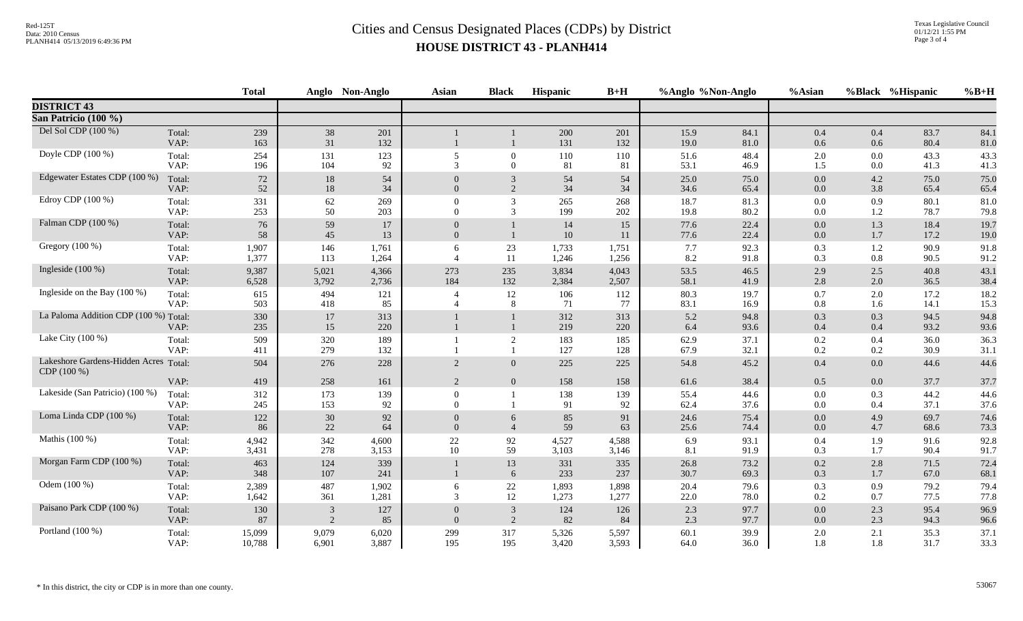|                                             |                | <b>Total</b>     |                | Anglo Non-Anglo | <b>Asian</b>         | <b>Black</b>               | Hispanic       | $B+H$          | %Anglo %Non-Anglo |                  | %Asian     |                | %Black %Hispanic | $%B+H$       |
|---------------------------------------------|----------------|------------------|----------------|-----------------|----------------------|----------------------------|----------------|----------------|-------------------|------------------|------------|----------------|------------------|--------------|
| <b>DISTRICT 43</b>                          |                |                  |                |                 |                      |                            |                |                |                   |                  |            |                |                  |              |
| San Patricio (100 %)                        |                |                  |                |                 |                      |                            |                |                |                   |                  |            |                |                  |              |
| Del Sol CDP (100 %)                         | Total:<br>VAP: | 239<br>163       | 38<br>31       | 201<br>132      |                      |                            | 200<br>131     | 201<br>132     | 15.9<br>19.0      | 84.1<br>$81.0\,$ | 0.4<br>0.6 | 0.4<br>0.6     | 83.7<br>80.4     | 84.1<br>81.0 |
| Doyle CDP (100 %)                           | Total:<br>VAP: | 254<br>196       | 131<br>104     | 123<br>92       | 5<br>$\mathcal{R}$   | $\overline{0}$<br>$\Omega$ | 110<br>81      | 110<br>81      | 51.6<br>53.1      | 48.4<br>46.9     | 2.0<br>1.5 | $0.0\,$<br>0.0 | 43.3<br>41.3     | 43.3<br>41.3 |
| Edgewater Estates CDP (100 %)               | Total:<br>VAP: | $72\,$<br>$52\,$ | 18<br>18       | 54<br>34        | $\Omega$             | 3<br>2                     | 54<br>34       | 54<br>34       | 25.0<br>34.6      | 75.0<br>65.4     | 0.0<br>0.0 | 4.2<br>3.8     | 75.0<br>65.4     | 75.0<br>65.4 |
| Edroy CDP (100 %)                           | Total:<br>VAP: | 331<br>253       | 62<br>50       | 269<br>203      | $\theta$<br>$\Omega$ | $\overline{3}$<br>3        | 265<br>199     | 268<br>202     | 18.7<br>19.8      | 81.3<br>80.2     | 0.0<br>0.0 | 0.9<br>1.2     | 80.1<br>78.7     | 81.0<br>79.8 |
| Falman CDP (100 %)                          | Total:<br>VAP: | 76<br>58         | 59<br>45       | 17<br>13        | $\Omega$<br>$\Omega$ |                            | 14<br>$10\,$   | 15<br>11       | 77.6<br>77.6      | 22.4<br>22.4     | 0.0<br>0.0 | 1.3<br>1.7     | 18.4<br>17.2     | 19.7<br>19.0 |
| Gregory (100 %)                             | Total:<br>VAP: | 1,907<br>1,377   | 146<br>113     | 1,761<br>1,264  | 6                    | 23<br>11                   | 1,733<br>1,246 | 1,751<br>1,256 | 7.7<br>8.2        | 92.3<br>91.8     | 0.3<br>0.3 | 1.2<br>$0.8\,$ | 90.9<br>90.5     | 91.8<br>91.2 |
| Ingleside $(100\%)$                         | Total:<br>VAP: | 9,387<br>6,528   | 5,021<br>3,792 | 4,366<br>2,736  | 273<br>184           | 235<br>132                 | 3,834<br>2,384 | 4,043<br>2,507 | 53.5<br>58.1      | 46.5<br>41.9     | 2.9<br>2.8 | 2.5<br>2.0     | 40.8<br>36.5     | 43.1<br>38.4 |
| Ingleside on the Bay (100 %)                | Total:<br>VAP: | 615<br>503       | 494<br>418     | 121<br>85       | 4                    | 12<br>8                    | 106<br>71      | 112<br>77      | 80.3<br>83.1      | 19.7<br>16.9     | 0.7<br>0.8 | 2.0<br>1.6     | 17.2<br>14.1     | 18.2<br>15.3 |
| La Paloma Addition CDP (100 %) Total:       | VAP:           | 330<br>235       | $17\,$<br>15   | 313<br>220      |                      |                            | 312<br>219     | 313<br>220     | 5.2<br>6.4        | 94.8<br>93.6     | 0.3<br>0.4 | 0.3<br>0.4     | 94.5<br>93.2     | 94.8<br>93.6 |
| Lake City (100 %)                           | Total:<br>VAP: | 509<br>411       | 320<br>279     | 189<br>132      |                      | 2                          | 183<br>127     | 185<br>128     | 62.9<br>67.9      | 37.1<br>32.1     | 0.2<br>0.2 | 0.4<br>$0.2\,$ | 36.0<br>30.9     | 36.3<br>31.1 |
| Lakeshore Gardens-Hidden Acres<br>CDP(100%) | Total:         | 504              | 276            | 228             | 2                    | $\overline{0}$             | 225            | 225            | 54.8              | 45.2             | 0.4        | 0.0            | 44.6             | 44.6         |
| Lakeside (San Patricio) (100 %)             | VAP:<br>Total: | 419<br>312       | 258<br>173     | 161<br>139      | 2<br>$\Omega$        | $\overline{0}$             | 158<br>138     | 158<br>139     | 61.6<br>55.4      | 38.4<br>44.6     | 0.5<br>0.0 | $0.0\,$<br>0.3 | 37.7<br>44.2     | 37.7<br>44.6 |
|                                             | VAP:           | 245              | 153            | 92              | $\Omega$             |                            | 91             | 92             | 62.4              | 37.6             | 0.0        | 0.4            | 37.1             | 37.6         |
| Loma Linda CDP (100 %)                      | Total:<br>VAP: | 122<br>86        | 30<br>22       | 92<br>64        | $\Omega$             | 6<br>$\overline{4}$        | 85<br>59       | 91<br>63       | 24.6<br>25.6      | 75.4<br>74.4     | 0.0<br>0.0 | 4.9<br>4.7     | 69.7<br>68.6     | 74.6<br>73.3 |
| Mathis (100 %)                              | Total:<br>VAP: | 4,942<br>3,431   | 342<br>278     | 4,600<br>3,153  | 22<br>10             | 92<br>59                   | 4,527<br>3,103 | 4,588<br>3,146 | 6.9<br>8.1        | 93.1<br>91.9     | 0.4<br>0.3 | 1.9<br>1.7     | 91.6<br>90.4     | 92.8<br>91.7 |
| Morgan Farm CDP (100 %)                     | Total:<br>VAP: | 463<br>348       | 124<br>107     | 339<br>241      | $\mathbf{1}$         | 13<br>6                    | 331<br>233     | 335<br>237     | 26.8<br>30.7      | 73.2<br>69.3     | 0.2<br>0.3 | 2.8<br>1.7     | 71.5<br>67.0     | 72.4<br>68.1 |
| Odem (100 %)                                | Total:<br>VAP: | 2,389<br>1,642   | 487<br>361     | 1,902<br>1,281  | 6<br>3               | $22\,$<br>12               | 1,893<br>1,273 | 1,898<br>1,277 | 20.4<br>22.0      | 79.6<br>78.0     | 0.3<br>0.2 | 0.9<br>0.7     | 79.2<br>77.5     | 79.4<br>77.8 |
| Paisano Park CDP (100 %)                    | Total:<br>VAP: | 130<br>87        | 3<br>2         | 127<br>85       | $\Omega$<br>$\Omega$ | 3<br>2                     | 124<br>82      | 126<br>84      | 2.3<br>2.3        | 97.7<br>97.7     | 0.0<br>0.0 | 2.3<br>2.3     | 95.4<br>94.3     | 96.9<br>96.6 |
| Portland (100 %)                            | Total:<br>VAP: | 15,099<br>10,788 | 9,079<br>6,901 | 6,020<br>3,887  | 299<br>195           | 317<br>195                 | 5,326<br>3,420 | 5,597<br>3,593 | 60.1<br>64.0      | 39.9<br>36.0     | 2.0<br>1.8 | 2.1<br>1.8     | 35.3<br>31.7     | 37.1<br>33.3 |